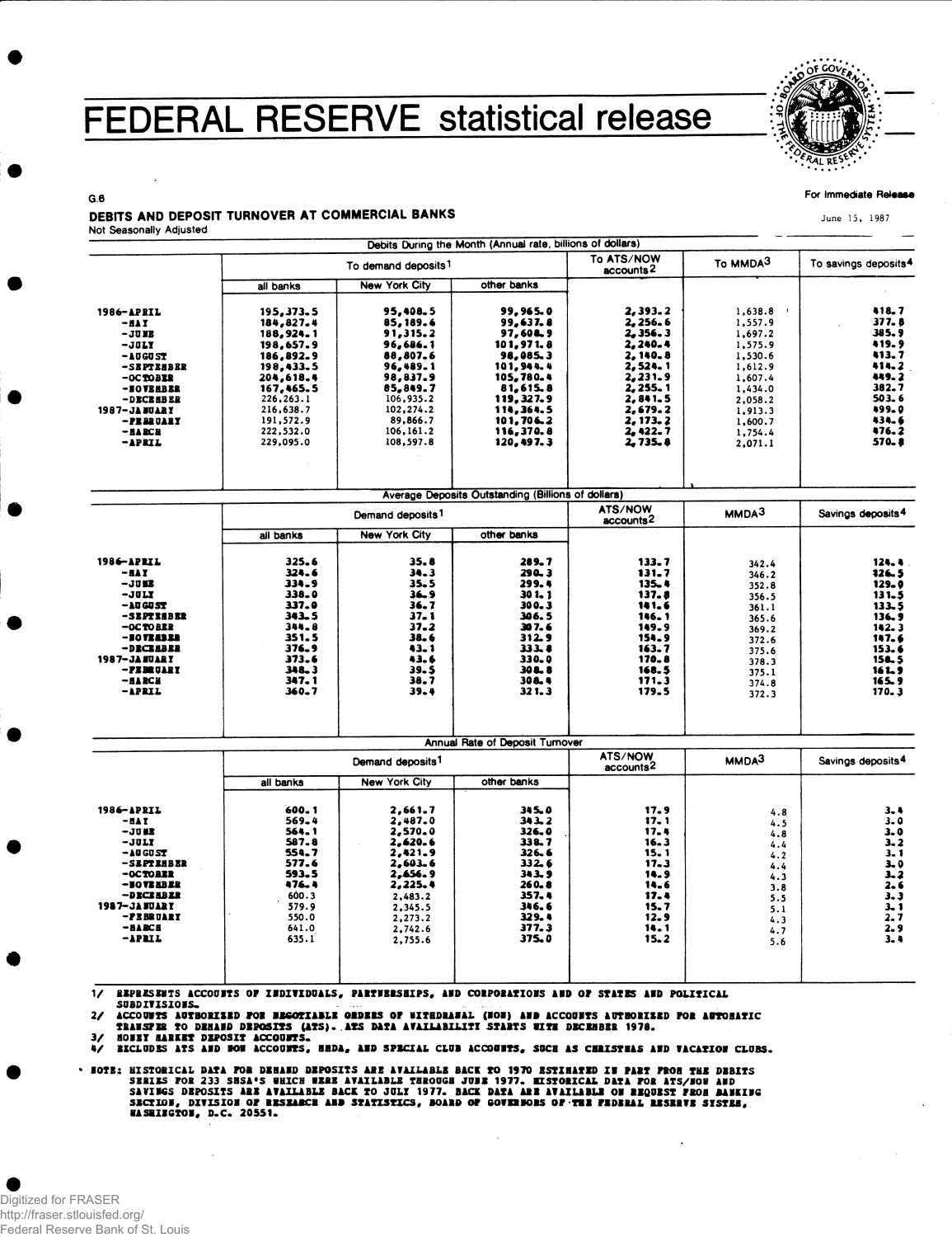## FEDERAL RESERVE statistical release



For Immediate Release

June 15, 1987

## $G.6$ DEBITS AND DEPOSIT TURNOVER AT COMMERCIAL BANKS Not Seasonally Adjusted

|                      |                                 |                      | Debits During the Month (Annual rate, billions of dollars) |                                     |                   |                                  |
|----------------------|---------------------------------|----------------------|------------------------------------------------------------|-------------------------------------|-------------------|----------------------------------|
|                      | To demand deposits <sup>1</sup> |                      |                                                            | To ATS/NOW<br>accounts <sup>2</sup> | To MMDA3          | To savings deposits <sup>4</sup> |
|                      | all banks                       | <b>New York City</b> | other banks                                                |                                     |                   |                                  |
| 1986-APRIL           | 195,373.5                       | 95,408.5             | 99,965.0                                                   | 2,393.2                             | 1,638.8           | 418.7                            |
| $-$ HAY              | 184,827.4                       | 85,189.6             | 99,637.8                                                   | 2,256.6                             | 1,557.9           | 377.8                            |
| $-$ JUME             | 188,924.1                       | 91,315.2             | 97,60L9                                                    | 2.356.3                             | 1,697.2           | 385.9                            |
| $-JIII$              | 198,657.9                       | 96,686.1             | 101,971.8                                                  | 2,240.4                             | 1,575.9           | 419.9                            |
| $-10G0ST$            | 186,892.9                       | 88,807.6             | 98,085.3                                                   | 2,140.8                             | 1,530.6           | 413.7                            |
| -SEPTEMBER           | 198,433.5                       | 96,489.1             | 101,944.4                                                  | 2,524.1                             | 1,612.9           | 414.2                            |
| $-0C$ TOBER          | 204,618.4                       | 98,837.9             | 105,780.4                                                  | 2, 231.9                            | 1,607.4           | 449.2                            |
| -BOVEHBER            | 167,465.5                       | 85.849.7             | 81.615.8                                                   | 2,255.1                             | 1,434.0           | 382.7                            |
| -DECEMBER            | 226,263.1                       | 106,935.2            | 119, 327.9                                                 | 2,841.5                             | 2.058.2           | 503.6                            |
| <b>1987-JANGARY</b>  | 216,638.7                       | 102,274.2            | 114,364.5                                                  | 2,679.2                             | 1,913.3           | 499.0                            |
| -PEBRUARY            | 191,572.9                       | 89,866.7             | 101,706.2                                                  | 2, 173, 2                           | 1,600.7           | 434.6                            |
| $-BABCH$             | 222,532.0                       | 106,161.2            | 116.370.8                                                  | 2,422.7                             | 1,754.4           | 476.2                            |
| $-$ APRIL            | 229,095.0                       | 108,597.8            | 120,497.3                                                  | 2.735.8                             | 2,071.1           | 570.8                            |
|                      |                                 |                      | Average Deposits Outstanding (Billions of dollars)         |                                     |                   |                                  |
|                      | Demand deposits <sup>1</sup>    |                      |                                                            | ATS/NOW<br>accounts2                | MMDA <sup>3</sup> | Savings deposits <sup>4</sup>    |
|                      | all banks                       | <b>New York City</b> | other banks                                                |                                     |                   |                                  |
| 1986-APRIL           | 325.6                           | 35.8                 | 289.7                                                      | 133.7                               | 342.4             | 124.4                            |
| $-$ HAI              | 324.6                           | 34.3                 | $290 - 3$                                                  | 131.7                               | 346.2             | 126.5                            |
| $-3002$              | 334.9                           | $35 - 5$             | 299.4                                                      | 135.4                               | 352.8             | $129 - 0$                        |
| $-JULX$              | 338.0                           | 36.9                 | $301 - 1$                                                  | 137.8                               | 356.5             | 131.5                            |
| $-10G0ST$            | 337.0                           | 36.7                 | 300.3                                                      | 141.6                               | 361.1             | 133.5                            |
| -SEPTEEBER           | 343.5                           | $37 - 1$             | 306.5                                                      | 146.1                               | 365.6             | 136.9                            |
| $-OCTO BLR$          | 344.8                           | $37 - 2$             | 307.6                                                      | 149.9                               | 369.2             | 142.3                            |
| -10121312            | 351.5                           | 38.6                 | 312.9                                                      | 154.9                               | 372.6             | 147.6                            |
| -DECEMBER            | 376.9                           | 43.1                 | 333.8                                                      | 163.7                               | 375.6             | 153.6                            |
| <b>1987-JANUARY</b>  | 373.6                           | 43.6                 | 330.0                                                      | 170.8                               | 378.3             | 156.5                            |
| -FEBRUARY            | 348.3<br>347.1                  | 39.5<br>38.7         | 308.8<br>308.4                                             | 168.5<br>171.3                      | 375.1             | 161.9                            |
| $-ABCH$<br>$-$ APRIL | $360 - 7$                       | 39.4                 | 321.3                                                      | 179.5                               | 374.8             | 165.9<br>170.3                   |
|                      |                                 |                      |                                                            |                                     | 372.3             |                                  |

|                                                                                                                                                  |                                                                                                 |                                                                                                                       | Annual Rate of Deposit Turnover                                                                     |                                                                                       |                                                                           |                                                                                   |
|--------------------------------------------------------------------------------------------------------------------------------------------------|-------------------------------------------------------------------------------------------------|-----------------------------------------------------------------------------------------------------------------------|-----------------------------------------------------------------------------------------------------|---------------------------------------------------------------------------------------|---------------------------------------------------------------------------|-----------------------------------------------------------------------------------|
|                                                                                                                                                  | Demand deposits <sup>1</sup>                                                                    |                                                                                                                       |                                                                                                     | ATS/NOW<br>accounts <sup>2</sup>                                                      | MMDA <sup>3</sup>                                                         | Savings deposits <sup>4</sup>                                                     |
|                                                                                                                                                  | all banks                                                                                       | <b>New York City</b>                                                                                                  | other banks                                                                                         |                                                                                       |                                                                           |                                                                                   |
| 1986-APRIL<br>$-111$<br>$-JJH$<br>$-JULI$<br>$-10GUST$<br>-SEPTEMBER<br>$-0C$ TORER<br>-IOTIBER<br>-DECEMBER<br><b>1987-JANUARY</b><br>-PEBRUARY | 600.1<br>569.4<br>564.1<br>587.8<br>554.7<br>577.6<br>593.5<br>476.4<br>600.3<br>579.9<br>550.0 | 2,661.7<br>2,487.0<br>2,570.0<br>2,620.6<br>2,421.9<br>2,603.6<br>2.656.9<br>2,225.4<br>2,483.2<br>2,345.5<br>2.273.2 | 345.0<br>343.2<br>326.0<br>338.7<br>326.6<br>332.6<br>343.9<br>$260 - 8$<br>357.4<br>346.6<br>329.4 | 17.9<br>17. 1<br>17.4<br>16.3<br>15.1<br>17.3<br>14.9<br>14.6<br>17.4<br>15.7<br>12.9 | 4.8<br>4.5<br>4.8<br>4.4<br>4.2<br>4.4<br>4.3<br>3.8<br>5.5<br>5.1<br>4.3 | 3.4<br>$3 - 0$<br>3.0<br>$3 - 2$<br>3.1<br>3.0<br>3.2<br>2.6<br>3.3<br>3.1<br>2.7 |
| $-ALBCE$<br>$-1$ PRIL                                                                                                                            | 641.0<br>635.1                                                                                  | 2.742.6<br>2,755.6                                                                                                    | 377.3<br>375.0                                                                                      | 14.1<br>$15 - 2$                                                                      | 4.7<br>5.6                                                                | 2.9<br>3.4                                                                        |
|                                                                                                                                                  |                                                                                                 |                                                                                                                       |                                                                                                     |                                                                                       |                                                                           |                                                                                   |

EEPRESENTS ACCOUNTS OF INDIVIDUALS, PARTNERSHIPS, AND CORPORATIONS AND OF STATES AND POLITICAL  $\frac{1}{\sqrt{2}}$ SUBDIVISIONS.

SUBDIVISIONS.<br>ACCOUNTS AUTHORISED FOR BEGOTIABLE ORDERS OF UITEDRABAL (HOW) AND ACCOUNTS AUTHORISED FOR AUTOMATIC<br>TRANSFRE TO DEMAND DEPOSITS (ATS). ATS DATA AVAILABILITI STARTS WITH DECEMBER 1978.<br>HOUET HARKET DEPOSIT ACC  $\mathbf{z}$ 

31

 $\ddot{ }$ 

- FOTE: HISTORICAL DATA FOR DEMAND DEPOSITS ARE AVAILABLE BACK TO 1970 ESTIBATED IN PART FROM THE DEBITS<br>SRRIES FOR 233 SMSA'S WHICH WERE AVAILABLE THROUGH JUBE 1977. HISTORICAL DATA FOR ATS/HOW AND<br>SAVINGS DEPOSITS ARE AV